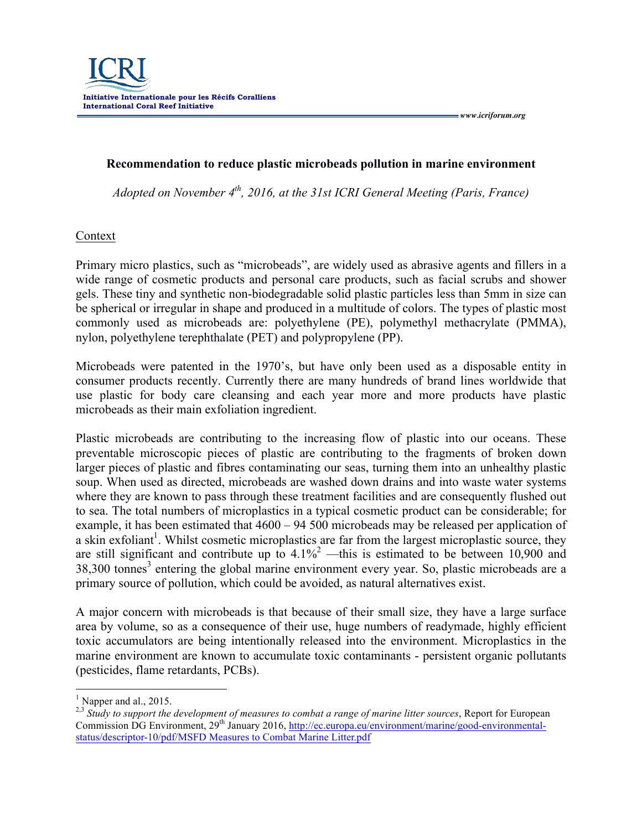*www.icriforum.org* 

## **Recommendation to reduce plastic microbeads pollution in marine environment**

*Adopted on November 4th, 2016, at the 31st ICRI General Meeting (Paris, France)*

## **Context**

Primary micro plastics, such as "microbeads", are widely used as abrasive agents and fillers in a wide range of cosmetic products and personal care products, such as facial scrubs and shower gels. These tiny and synthetic non-biodegradable solid plastic particles less than 5mm in size can be spherical or irregular in shape and produced in a multitude of colors. The types of plastic most commonly used as microbeads are: polyethylene (PE), polymethyl methacrylate (PMMA), nylon, polyethylene terephthalate (PET) and polypropylene (PP).

Microbeads were patented in the 1970's, but have only been used as a disposable entity in consumer products recently. Currently there are many hundreds of brand lines worldwide that use plastic for body care cleansing and each year more and more products have plastic microbeads as their main exfoliation ingredient.

Plastic microbeads are contributing to the increasing flow of plastic into our oceans. These preventable microscopic pieces of plastic are contributing to the fragments of broken down larger pieces of plastic and fibres contaminating our seas, turning them into an unhealthy plastic soup. When used as directed, microbeads are washed down drains and into waste water systems where they are known to pass through these treatment facilities and are consequently flushed out to sea. The total numbers of microplastics in a typical cosmetic product can be considerable; for example, it has been estimated that 4600 – 94 500 microbeads may be released per application of a skin exfoliant<sup>1</sup>. Whilst cosmetic microplastics are far from the largest microplastic source, they are still significant and contribute up to  $4.1\%^2$  —this is estimated to be between 10,900 and 38,300 tonnes<sup>3</sup> entering the global marine environment every year. So, plastic microbeads are a primary source of pollution, which could be avoided, as natural alternatives exist.

A major concern with microbeads is that because of their small size, they have a large surface area by volume, so as a consequence of their use, huge numbers of readymade, highly efficient toxic accumulators are being intentionally released into the environment. Microplastics in the marine environment are known to accumulate toxic contaminants - persistent organic pollutants (pesticides, flame retardants, PCBs).

 $<sup>1</sup>$  Napper and al., 2015.</sup>

<sup>&</sup>lt;sup>2,3</sup> Study to support the development of measures to combat a range of marine litter sources, Report for European Commission DG Environment, 29<sup>th</sup> January 2016, http://ec.europa.eu/environment/marine/good-environmentalstatus/descriptor-10/pdf/MSFD Measures to Combat Marine Litter.pdf